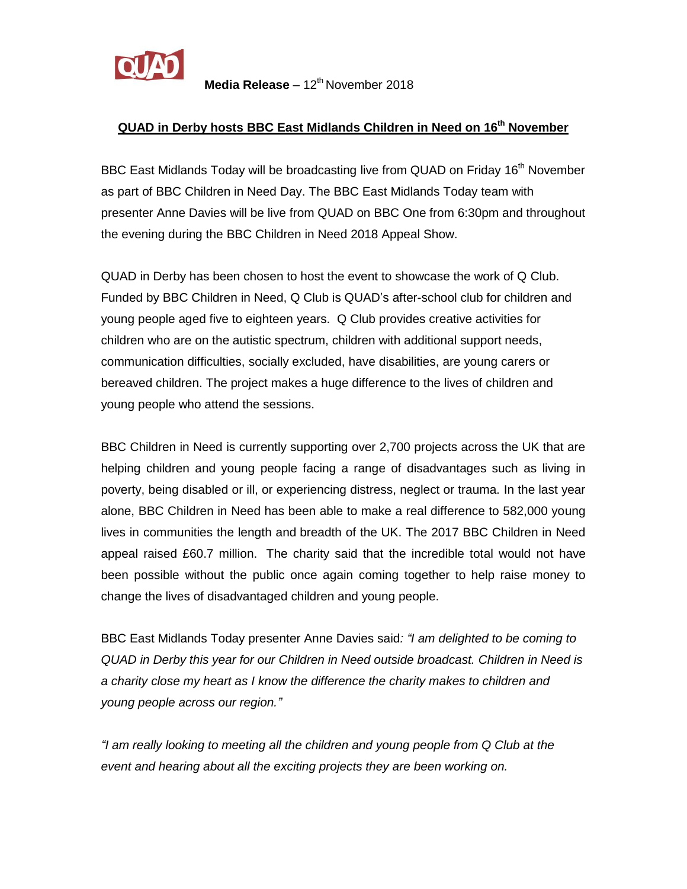

**Media Release** – 12<sup>th</sup> November 2018

## **QUAD in Derby hosts BBC East Midlands Children in Need on 16th November**

BBC East Midlands Today will be broadcasting live from QUAD on Friday 16<sup>th</sup> November as part of BBC Children in Need Day. The BBC East Midlands Today team with presenter Anne Davies will be live from QUAD on BBC One from 6:30pm and throughout the evening during the BBC Children in Need 2018 Appeal Show.

QUAD in Derby has been chosen to host the event to showcase the work of Q Club. Funded by BBC Children in Need, Q Club is QUAD's after-school club for children and young people aged five to eighteen years. Q Club provides creative activities for children who are on the autistic spectrum, children with additional support needs, communication difficulties, socially excluded, have disabilities, are young carers or bereaved children. The project makes a huge difference to the lives of children and young people who attend the sessions.

BBC Children in Need is currently supporting over 2,700 projects across the UK that are helping children and young people facing a range of disadvantages such as living in poverty, being disabled or ill, or experiencing distress, neglect or trauma. In the last year alone, BBC Children in Need has been able to make a real difference to 582,000 young lives in communities the length and breadth of the UK. The 2017 BBC Children in Need appeal raised £60.7 million. The charity said that the incredible total would not have been possible without the public once again coming together to help raise money to change the lives of disadvantaged children and young people.

BBC East Midlands Today presenter Anne Davies said*: "I am delighted to be coming to QUAD in Derby this year for our Children in Need outside broadcast. Children in Need is a charity close my heart as I know the difference the charity makes to children and young people across our region."*

*"I am really looking to meeting all the children and young people from Q Club at the event and hearing about all the exciting projects they are been working on.*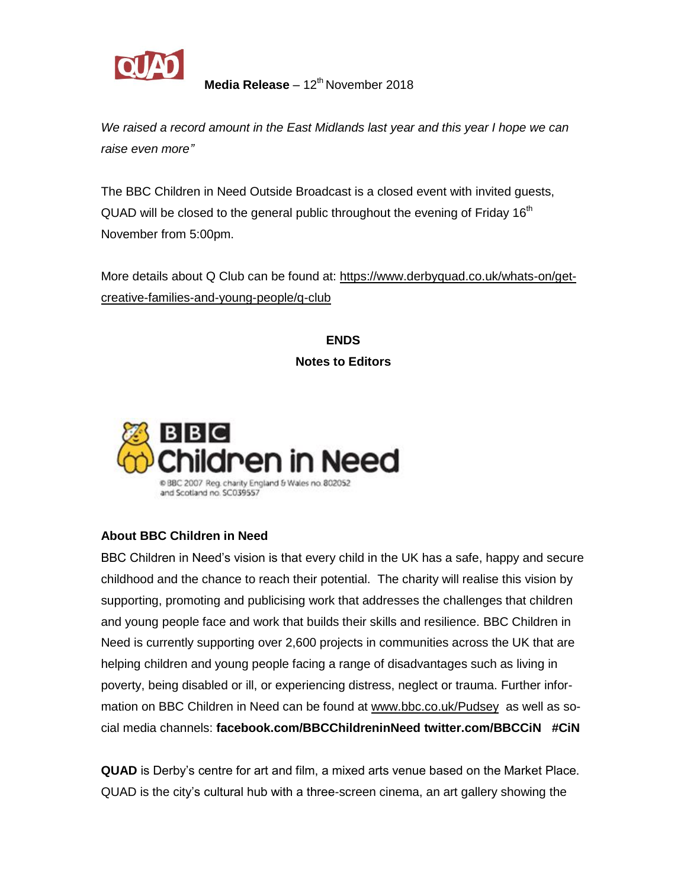

**Media Release** – 12<sup>th</sup> November 2018

*We raised a record amount in the East Midlands last year and this year I hope we can raise even more"*

The BBC Children in Need Outside Broadcast is a closed event with invited guests, QUAD will be closed to the general public throughout the evening of Friday  $16<sup>th</sup>$ November from 5:00pm.

More details about Q Club can be found at: [https://www.derbyquad.co.uk/whats-on/get](https://www.derbyquad.co.uk/whats-on/get-creative-families-and-young-people/q-club)[creative-families-and-young-people/q-club](https://www.derbyquad.co.uk/whats-on/get-creative-families-and-young-people/q-club)

> **ENDS Notes to Editors**



## **About BBC Children in Need**

BBC Children in Need's vision is that every child in the UK has a safe, happy and secure childhood and the chance to reach their potential. The charity will realise this vision by supporting, promoting and publicising work that addresses the challenges that children and young people face and work that builds their skills and resilience. BBC Children in Need is currently supporting over 2,600 projects in communities across the UK that are helping children and young people facing a range of disadvantages such as living in poverty, being disabled or ill, or experiencing distress, neglect or trauma. Further information on BBC Children in Need can be found at [www.bbc.co.uk/Pudsey](http://www.bbc.co.uk/Pudsey) as well as social media channels: **facebook.com/BBCChildreninNeed twitter.com/BBCCiN #CiN**

**QUAD** is Derby's centre for art and film, a mixed arts venue based on the Market Place. QUAD is the city's cultural hub with a three-screen cinema, an art gallery showing the